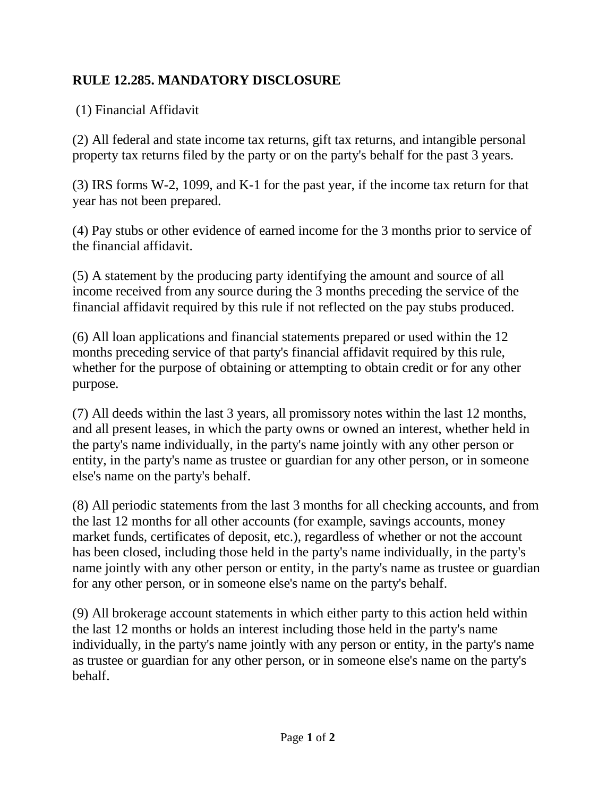## **RULE 12.285. MANDATORY DISCLOSURE**

(1) Financial Affidavit

(2) All federal and state income tax returns, gift tax returns, and intangible personal property tax returns filed by the party or on the party's behalf for the past 3 years.

(3) IRS forms W-2, 1099, and K-1 for the past year, if the income tax return for that year has not been prepared.

(4) Pay stubs or other evidence of earned income for the 3 months prior to service of the financial affidavit.

(5) A statement by the producing party identifying the amount and source of all income received from any source during the 3 months preceding the service of the financial affidavit required by this rule if not reflected on the pay stubs produced.

(6) All loan applications and financial statements prepared or used within the 12 months preceding service of that party's financial affidavit required by this rule, whether for the purpose of obtaining or attempting to obtain credit or for any other purpose.

(7) All deeds within the last 3 years, all promissory notes within the last 12 months, and all present leases, in which the party owns or owned an interest, whether held in the party's name individually, in the party's name jointly with any other person or entity, in the party's name as trustee or guardian for any other person, or in someone else's name on the party's behalf.

(8) All periodic statements from the last 3 months for all checking accounts, and from the last 12 months for all other accounts (for example, savings accounts, money market funds, certificates of deposit, etc.), regardless of whether or not the account has been closed, including those held in the party's name individually, in the party's name jointly with any other person or entity, in the party's name as trustee or guardian for any other person, or in someone else's name on the party's behalf.

(9) All brokerage account statements in which either party to this action held within the last 12 months or holds an interest including those held in the party's name individually, in the party's name jointly with any person or entity, in the party's name as trustee or guardian for any other person, or in someone else's name on the party's behalf.